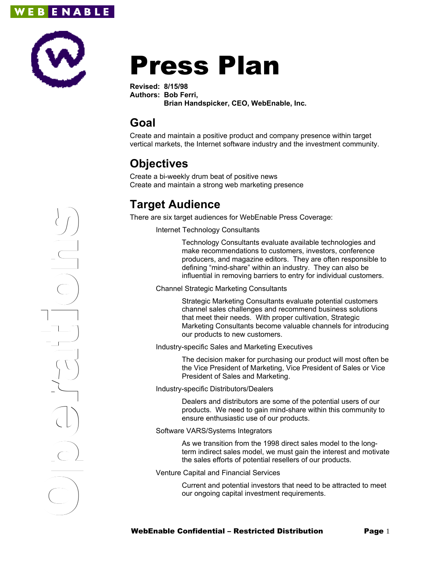



# Press Plan

**Revised: 8/15/98 Authors: Bob Ferri, Brian Handspicker, CEO, WebEnable, Inc.**

## **Goal**

Create and maintain a positive product and company presence within target vertical markets, the Internet software industry and the investment community.

# **Objectives**

Create a bi-weekly drum beat of positive news Create and maintain a strong web marketing presence

# **Target Audience**

There are six target audiences for WebEnable Press Coverage:

Internet Technology Consultants

Technology Consultants evaluate available technologies and make recommendations to customers, investors, conference producers, and magazine editors. They are often responsible to defining "mind-share" within an industry. They can also be influential in removing barriers to entry for individual customers.

Channel Strategic Marketing Consultants

Strategic Marketing Consultants evaluate potential customers channel sales challenges and recommend business solutions that meet their needs. With proper cultivation, Strategic Marketing Consultants become valuable channels for introducing our products to new customers.

Industry-specific Sales and Marketing Executives

The decision maker for purchasing our product will most often be the Vice President of Marketing, Vice President of Sales or Vice President of Sales and Marketing.

Industry-specific Distributors/Dealers

Dealers and distributors are some of the potential users of our products. We need to gain mind-share within this community to ensure enthusiastic use of our products.

#### Software VARS/Systems Integrators

As we transition from the 1998 direct sales model to the longterm indirect sales model, we must gain the interest and motivate the sales efforts of potential resellers of our products.

Venture Capital and Financial Services

Current and potential investors that need to be attracted to meet our ongoing capital investment requirements.

 $\bigcirc$ erati o<u>n</u> the second second second second second second second second second second second second second second second s<br>second second second second second second second second second second second second second second second secon<br> CONSCRIPTION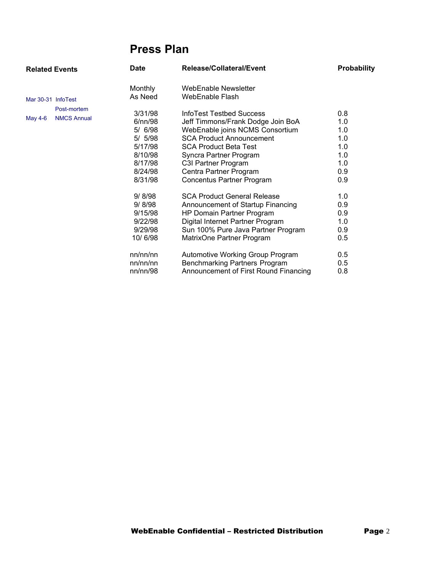# **Press Plan**

| <b>Related Events</b> |                                   | <b>Date</b>                                                                                                                                                      | Release/Collateral/Event                                                                                                                                                                                                                                                                                                                                                                                                                                                                   | <b>Probability</b>                                                                                    |
|-----------------------|-----------------------------------|------------------------------------------------------------------------------------------------------------------------------------------------------------------|--------------------------------------------------------------------------------------------------------------------------------------------------------------------------------------------------------------------------------------------------------------------------------------------------------------------------------------------------------------------------------------------------------------------------------------------------------------------------------------------|-------------------------------------------------------------------------------------------------------|
| Mar 30-31 InfoTest    |                                   | <b>Monthly</b><br>As Need                                                                                                                                        | WebEnable Newsletter<br>WebEnable Flash                                                                                                                                                                                                                                                                                                                                                                                                                                                    |                                                                                                       |
| May 4-6               | Post-mortem<br><b>NMCS Annual</b> | 3/31/98<br>6/nn/98<br>5/ 6/98<br>5/ 5/98<br>5/17/98<br>8/10/98<br>8/17/98<br>8/24/98<br>8/31/98<br>9/ 8/98<br>9/8/98<br>9/15/98<br>9/22/98<br>9/29/98<br>10/6/98 | InfoTest Testbed Success<br>Jeff Timmons/Frank Dodge Join BoA<br>WebEnable joins NCMS Consortium<br><b>SCA Product Announcement</b><br><b>SCA Product Beta Test</b><br>Syncra Partner Program<br>C3I Partner Program<br>Centra Partner Program<br>Concentus Partner Program<br><b>SCA Product General Release</b><br>Announcement of Startup Financing<br>HP Domain Partner Program<br>Digital Internet Partner Program<br>Sun 100% Pure Java Partner Program<br>MatrixOne Partner Program | 0.8<br>1.0<br>1.0<br>1.0<br>1.0<br>1.0<br>1.0<br>0.9<br>0.9<br>1.0<br>0.9<br>0.9<br>1.0<br>0.9<br>0.5 |
|                       |                                   | nn/nn/nn<br>nn/nn/nn<br>nn/nn/98                                                                                                                                 | Automotive Working Group Program<br>Benchmarking Partners Program<br>Announcement of First Round Financing                                                                                                                                                                                                                                                                                                                                                                                 | 0.5<br>0.5<br>0.8                                                                                     |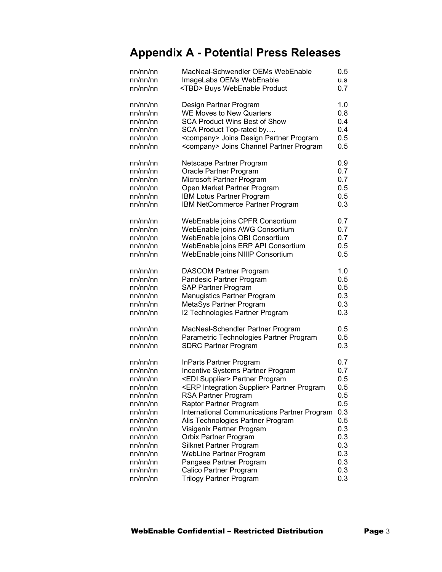# **Appendix A - Potential Press Releases**

| nn/nn/nn | MacNeal-Schwendler OEMs WebEnable                      | $0.5\,$ |
|----------|--------------------------------------------------------|---------|
| nn/nn/nn | ImageLabs OEMs WebEnable                               | u.s     |
| nn/nn/nn | <tbd> Buys WebEnable Product</tbd>                     | 0.7     |
| nn/nn/nn | Design Partner Program                                 | 1.0     |
| nn/nn/nn | <b>WE Moves to New Quarters</b>                        | 0.8     |
| nn/nn/nn | <b>SCA Product Wins Best of Show</b>                   | 0.4     |
| nn/nn/nn | SCA Product Top-rated by                               | 0.4     |
| nn/nn/nn | <company> Joins Design Partner Program</company>       | 0.5     |
| nn/nn/nn | <company> Joins Channel Partner Program</company>      | 0.5     |
| nn/nn/nn | Netscape Partner Program                               | 0.9     |
| nn/nn/nn | Oracle Partner Program                                 | 0.7     |
| nn/nn/nn | Microsoft Partner Program                              | 0.7     |
| nn/nn/nn | Open Market Partner Program                            | 0.5     |
| nn/nn/nn | IBM Lotus Partner Program                              | 0.5     |
| nn/nn/nn | IBM NetCommerce Partner Program                        | 0.3     |
| nn/nn/nn | WebEnable joins CPFR Consortium                        | 0.7     |
| nn/nn/nn | WebEnable joins AWG Consortium                         | 0.7     |
| nn/nn/nn | WebEnable joins OBI Consortium                         | 0.7     |
| nn/nn/nn | WebEnable joins ERP API Consortium                     | 0.5     |
| nn/nn/nn | WebEnable joins NIIIP Consortium                       | 0.5     |
| nn/nn/nn | <b>DASCOM Partner Program</b>                          | 1.0     |
| nn/nn/nn | Pandesic Partner Program                               | 0.5     |
| nn/nn/nn | SAP Partner Program                                    | 0.5     |
| nn/nn/nn | <b>Manugistics Partner Program</b>                     | 0.3     |
| nn/nn/nn | MetaSys Partner Program                                | 0.3     |
| nn/nn/nn | <b>I2 Technologies Partner Program</b>                 | 0.3     |
| nn/nn/nn | MacNeal-Schendler Partner Program                      | 0.5     |
| nn/nn/nn | Parametric Technologies Partner Program                | 0.5     |
| nn/nn/nn | <b>SDRC Partner Program</b>                            | 0.3     |
| nn/nn/nn | <b>InParts Partner Program</b>                         | 0.7     |
| nn/nn/nn | Incentive Systems Partner Program                      | 0.7     |
| nn/nn/nn | <edi supplier=""> Partner Program</edi>                | 0.5     |
| nn/nn/nn | <erp integration="" supplier=""> Partner Program</erp> | 0.5     |
| nn/nn/nn | RSA Partner Program                                    | 0.5     |
| nn/nn/nn | Raptor Partner Program                                 | 0.5     |
| nn/nn/nn | International Communications Partner Program           | 0.3     |
| nn/nn/nn | Alis Technologies Partner Program                      | 0.5     |
| nn/nn/nn | Visigenix Partner Program                              | 0.3     |
| nn/nn/nn | Orbix Partner Program                                  | 0.3     |
| nn/nn/nn | Silknet Partner Program                                | 0.3     |
| nn/nn/nn | <b>WebLine Partner Program</b>                         | 0.3     |
| nn/nn/nn | Pangaea Partner Program                                | 0.3     |
| nn/nn/nn | Calico Partner Program                                 | 0.3     |
| nn/nn/nn | <b>Trilogy Partner Program</b>                         | 0.3     |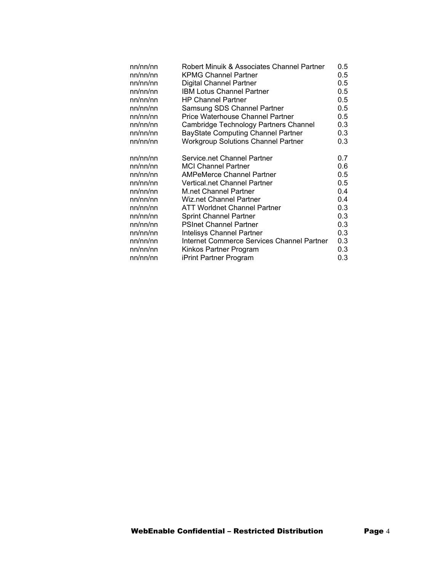| nn/nn/nn | Robert Minuik & Associates Channel Partner | 0.5     |
|----------|--------------------------------------------|---------|
| nn/nn/nn | <b>KPMG Channel Partner</b>                | $0.5\,$ |
| nn/nn/nn | Digital Channel Partner                    | 0.5     |
| nn/nn/nn | <b>IBM Lotus Channel Partner</b>           | $0.5\,$ |
| nn/nn/nn | <b>HP Channel Partner</b>                  | 0.5     |
| nn/nn/nn | Samsung SDS Channel Partner                | $0.5\,$ |
| nn/nn/nn | <b>Price Waterhouse Channel Partner</b>    | 0.5     |
| nn/nn/nn | Cambridge Technology Partners Channel      | 0.3     |
| nn/nn/nn | <b>BayState Computing Channel Partner</b>  | 0.3     |
| nn/nn/nn | <b>Workgroup Solutions Channel Partner</b> | 0.3     |
| nn/nn/nn | Service.net Channel Partner                | 0.7     |
| nn/nn/nn | <b>MCI Channel Partner</b>                 | 0.6     |
| nn/nn/nn | <b>AMPeMerce Channel Partner</b>           | 0.5     |
| nn/nn/nn | Vertical.net Channel Partner               | 0.5     |
| nn/nn/nn | <b>M.net Channel Partner</b>               | 0.4     |
| nn/nn/nn | <b>Wiz.net Channel Partner</b>             | 0.4     |
| nn/nn/nn | ATT Worldnet Channel Partner               | 0.3     |
| nn/nn/nn | <b>Sprint Channel Partner</b>              | 0.3     |
| nn/nn/nn | <b>PSInet Channel Partner</b>              | 0.3     |
| nn/nn/nn | Intelisys Channel Partner                  | 0.3     |
| nn/nn/nn | Internet Commerce Services Channel Partner | 0.3     |
| nn/nn/nn | Kinkos Partner Program                     | 0.3     |
| nn/nn/nn | iPrint Partner Program                     | 0.3     |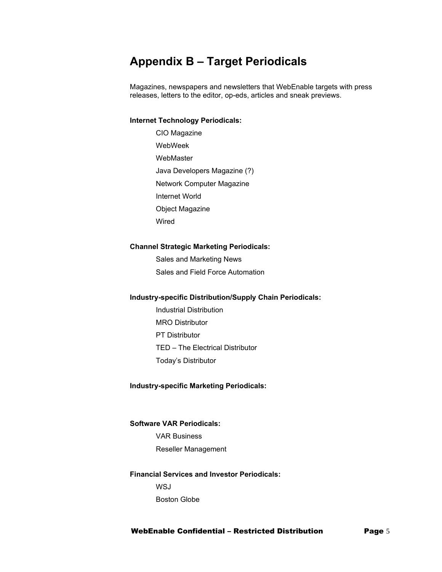### **Appendix B – Target Periodicals**

Magazines, newspapers and newsletters that WebEnable targets with press releases, letters to the editor, op-eds, articles and sneak previews.

#### **Internet Technology Periodicals:**

CIO Magazine WebWeek WebMaster Java Developers Magazine (?) Network Computer Magazine Internet World Object Magazine Wired

#### **Channel Strategic Marketing Periodicals:**

Sales and Marketing News Sales and Field Force Automation

#### **Industry-specific Distribution/Supply Chain Periodicals:**

Industrial Distribution MRO Distributor PT Distributor TED – The Electrical Distributor Today's Distributor

#### **Industry-specific Marketing Periodicals:**

#### **Software VAR Periodicals:**

VAR Business Reseller Management

#### **Financial Services and Investor Periodicals:**

**WSJ** Boston Globe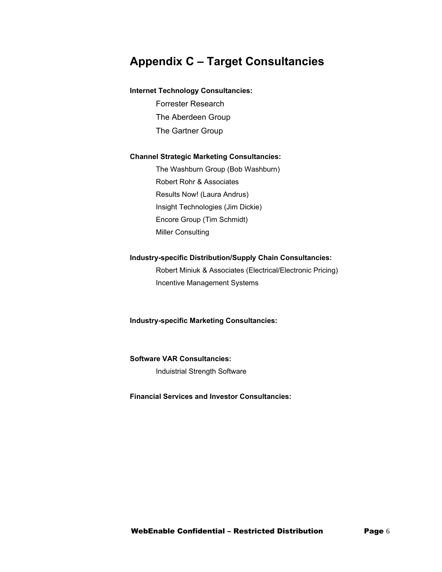### **Appendix C – Target Consultancies**

#### **Internet Technology Consultancies:**

Forrester Research The Aberdeen Group The Gartner Group

#### **Channel Strategic Marketing Consultancies:**

The Washburn Group (Bob Washburn) Robert Rohr & Associates Results Now! (Laura Andrus) Insight Technologies (Jim Dickie) Encore Group (Tim Schmidt) Miller Consulting

#### **Industry-specific Distribution/Supply Chain Consultancies:**

Robert Miniuk & Associates (Electrical/Electronic Pricing) Incentive Management Systems

**Industry-specific Marketing Consultancies:**

### **Software VAR Consultancies:**

Induistrial Strength Software

#### **Financial Services and Investor Consultancies:**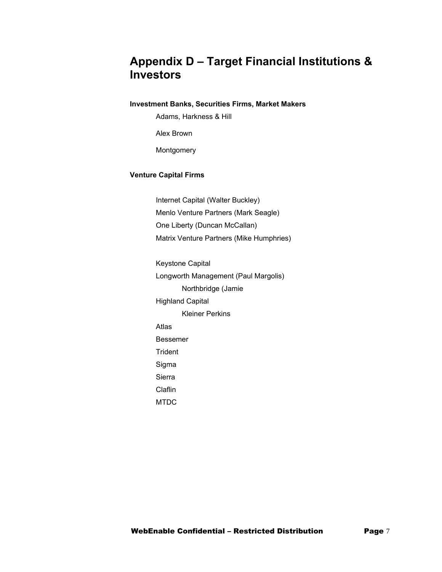### **Appendix D – Target Financial Institutions & Investors**

#### **Investment Banks, Securities Firms, Market Makers**

Adams, Harkness & Hill

Alex Brown

Montgomery

#### **Venture Capital Firms**

Internet Capital (Walter Buckley) Menlo Venture Partners (Mark Seagle) One Liberty (Duncan McCallan) Matrix Venture Partners (Mike Humphries)

Keystone Capital Longworth Management (Paul Margolis) Northbridge (Jamie Highland Capital Kleiner Perkins Atlas Bessemer **Trident** Sigma Sierra Claflin MTDC